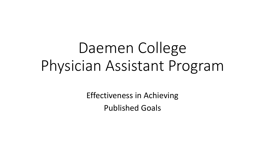# Daemen College Physician Assistant Program

Effectiveness in Achieving Published Goals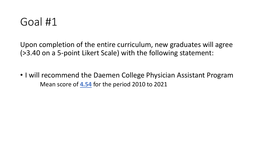Upon completion of the entire curriculum, new graduates will agree (>3.40 on a 5-point Likert Scale) with the following statement:

• I will recommend the Daemen College Physician Assistant Program Mean score of **4.54** for the period 2010 to 2021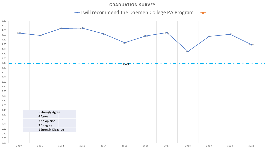#### **GRADUATION SURVEY**

I will recommend the Daemen College PA Program

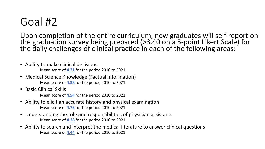Upon completion of the entire curriculum, new graduates will self-report on the graduation survey being prepared (>3.40 on a 5-point Likert Scale) for the daily challenges of clinical practice in each of the following areas:

- Ability to make clinical decisions Mean score of **4.21** for the period 2010 to 2021
- Medical Science Knowledge (Factual Information) Mean score of **4.38** for the period 2010 to 2021
- Basic Clinical Skills

Mean score of **4.54** for the period 2010 to 2021

- Ability to elicit an accurate history and physical examination Mean score of **4.76** for the period 2010 to 2021
- Understanding the role and responsibilities of physician assistants Mean score of **4.38** for the period 2010 to 2021
- Ability to search and interpret the medical literature to answer clinical questions Mean score of **4.44** for the period 2010 to 2021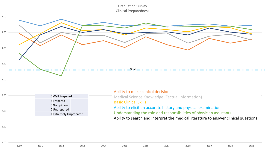Graduation Survey Clinical Preparedness



|      |                        | Ability to make clinical decisions                                                  |  |  |  |  |  |  |
|------|------------------------|-------------------------------------------------------------------------------------|--|--|--|--|--|--|
| 2.50 | 5 Well Prepared        | Medical Science Knowledge (Factual Information)                                     |  |  |  |  |  |  |
|      | 4 Prepared             | <b>Basic Clinical Skills</b>                                                        |  |  |  |  |  |  |
|      | 3 No opinion           |                                                                                     |  |  |  |  |  |  |
| 2.00 | 2 Unprepared           | Ability to elicit an accurate history and physical examination                      |  |  |  |  |  |  |
|      | 1 Extremely Unprepared | Understanding the role and responsibilities of physician assistants                 |  |  |  |  |  |  |
|      |                        | Ability to search and interpret the medical literature to answer clinical questions |  |  |  |  |  |  |

1.50

1.00

**2010 2011 2012 2013 2014 2015 2016 2017 2018 2019 2020 2021**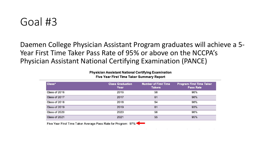Daemen College Physician Assistant Program graduates will achieve a 5- Year First Time Taker Pass Rate of 95% or above on the NCCPA's Physician Assistant National Certifying Examination (PANCE)

**Physician Assistant National Certifying Examination Five Year First Time Taker Summary Report** 

| Class*        | <b>Class Graduation</b><br>Year | <b>Number of First Time</b><br><b>Takers</b> | <b>Program First Time Taker</b><br><b>Pass Rate</b> |
|---------------|---------------------------------|----------------------------------------------|-----------------------------------------------------|
| Class of 2016 | 2016                            | 58                                           | 98%                                                 |
| Class of 2017 | 2017                            | 61                                           | 98%                                                 |
| Class of 2018 | 2018                            | 54                                           | 98%                                                 |
| Class of 2019 | 2019                            | 61                                           | 93%                                                 |
| Class of 2020 | 2020                            | 56                                           | 98%                                                 |
| Class of 2021 | 2021                            | 55                                           | 95%                                                 |

 $\mathcal{L}^{\mathcal{A}}$  , where the same properties of the same properties of the same properties of the same properties of the same properties of the same properties of the same properties of the same properties of the same prop

Five Year First Time Taker Average Pass Rate for Program: 97%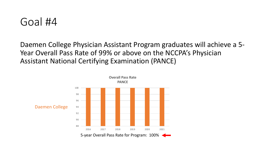

Daemen College Physician Assistant Program graduates will achieve a 5- Year Overall Pass Rate of 99% or above on the NCCPA's Physician Assistant National Certifying Examination (PANCE)

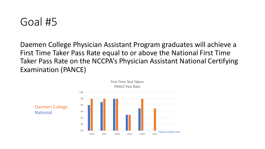Daemen College Physician Assistant Program graduates will achieve a First Time Taker Pass Rate equal to or above the National First Time Taker Pass Rate on the NCCPA's Physician Assistant National Certifying Examination (PANCE)

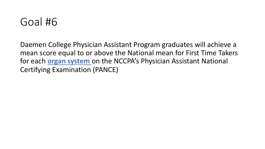

Daemen College Physician Assistant Program graduates will achieve a mean score equal to or above the National mean for First Time Takers for each **organ system** on the NCCPA's Physician Assistant National Certifying Examination (PANCE)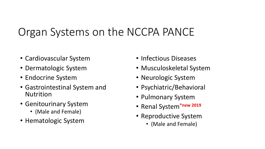# Organ Systems on the NCCPA PANCE

- Cardiovascular System
- Dermatologic System
- Endocrine System
- Gastrointestinal System and Nutrition
- Genitourinary System
	- (Male and Female)
- Hematologic System
- Infectious Diseases
- Musculoskeletal System
- Neurologic System
- Psychiatric/Behavioral
- Pulmonary System
- Renal System**\*new 2019**
- Reproductive System
	- (Male and Female)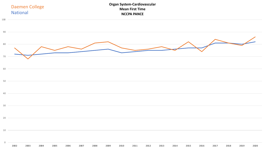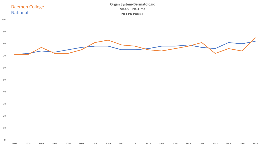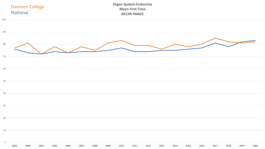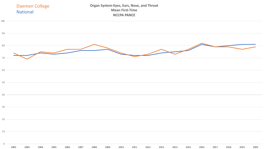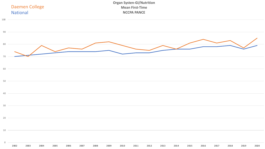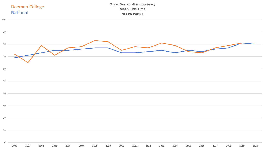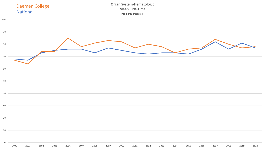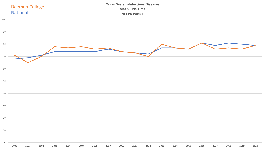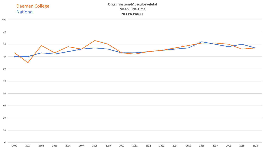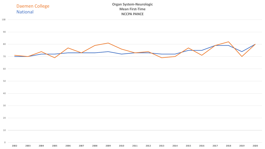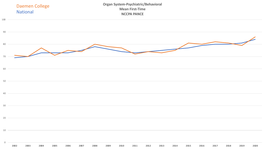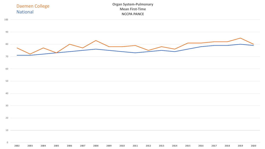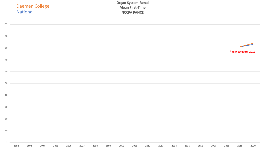|                | <b>National</b> | <b>Daemen College</b> |      |      |      |      |      |      | <b>Organ System-Renal</b><br><b>Mean First-Time</b><br><b>NCCPA PANCE</b> |      |      |      |      |      |      |      |                    |      |
|----------------|-----------------|-----------------------|------|------|------|------|------|------|---------------------------------------------------------------------------|------|------|------|------|------|------|------|--------------------|------|
| $100$ —        |                 |                       |      |      |      |      |      |      |                                                                           |      |      |      |      |      |      |      |                    |      |
|                |                 | $90$ $-$              |      |      |      |      |      |      |                                                                           |      |      |      |      |      |      |      |                    |      |
| $80 -$         |                 |                       |      |      |      |      |      |      |                                                                           |      |      |      |      |      |      |      | *new category 2019 |      |
| $70 -$         |                 |                       |      |      |      |      |      |      |                                                                           |      |      |      |      |      |      |      |                    |      |
| 60             |                 |                       |      |      |      |      |      |      |                                                                           |      |      |      |      |      |      |      |                    |      |
| $50 -$         |                 |                       |      |      |      |      |      |      |                                                                           |      |      |      |      |      |      |      |                    |      |
| $40 -$         |                 |                       |      |      |      |      |      |      |                                                                           |      |      |      |      |      |      |      |                    |      |
| 30             |                 |                       |      |      |      |      |      |      |                                                                           |      |      |      |      |      |      |      |                    |      |
| 20             |                 |                       |      |      |      |      |      |      |                                                                           |      |      |      |      |      |      |      |                    |      |
| $10 -$         |                 |                       |      |      |      |      |      |      |                                                                           |      |      |      |      |      |      |      |                    |      |
| $\overline{0}$ | 2002            | 2003<br>2004          | 2005 | 2006 | 2007 | 2008 | 2009 | 2010 | 2011                                                                      | 2012 | 2013 | 2014 | 2015 | 2016 | 2017 | 2018 | 2019               | 2020 |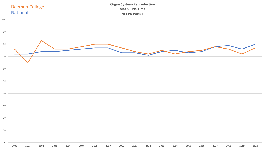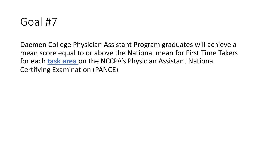Daemen College Physician Assistant Program graduates will achieve a mean score equal to or above the National mean for First Time Takers for each **task area** on the NCCPA's Physician Assistant National Certifying Examination (PANCE)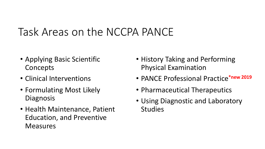# Task Areas on the NCCPA PANCE

- Applying Basic Scientific Concepts
- Clinical Interventions
- Formulating Most Likely **Diagnosis**
- Health Maintenance, Patient Education, and Preventive **Measures**
- History Taking and Performing Physical Examination
- PANCE Professional Practice**\*new 2019**
- Pharmaceutical Therapeutics
- Using Diagnostic and Laboratory Studies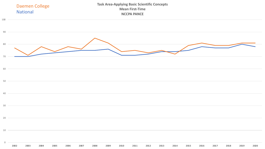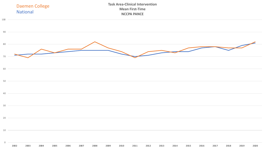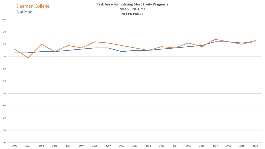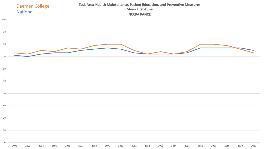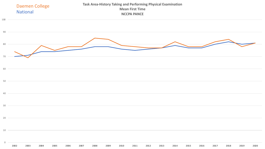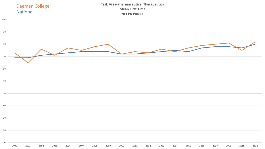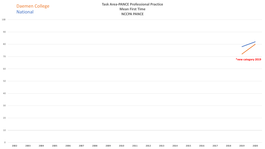|             | <b>Daemen College</b><br><b>National</b>                                                                                                                             |                                                                                   | <b>Task Area-PANCE Professional Practice</b><br><b>Mean First Time</b><br><b>NCCPA PANCE</b><br>,我们也不会有什么。""我们的人,我们也不会有什么?""我们的人,我们也不会有什么?""我们的人,我们也不会有什么?""我们的人,我们也不会有什么?""我们的人 |      |      |      |      |      |      |      |      |      |      |      |      |                    |      |
|-------------|----------------------------------------------------------------------------------------------------------------------------------------------------------------------|-----------------------------------------------------------------------------------|----------------------------------------------------------------------------------------------------------------------------------------------------------------------------------|------|------|------|------|------|------|------|------|------|------|------|------|--------------------|------|
| 100         |                                                                                                                                                                      |                                                                                   |                                                                                                                                                                                  |      |      |      |      |      |      |      |      |      |      |      |      |                    |      |
| 90          |                                                                                                                                                                      |                                                                                   |                                                                                                                                                                                  |      |      |      |      |      |      |      |      |      |      |      |      |                    |      |
| 80          |                                                                                                                                                                      |                                                                                   |                                                                                                                                                                                  |      |      |      |      |      |      |      |      |      |      |      |      |                    |      |
| $70 -$      |                                                                                                                                                                      | ,我们也不会有一个人的事情。""我们的人,我们也不会有一个人的人,我们也不会有一个人的人,我们也不会有一个人的人,我们也不会有一个人的人,我们也不会有一个人的人, |                                                                                                                                                                                  |      |      |      |      |      |      |      |      |      |      |      |      | *new category 2019 |      |
| 60          |                                                                                                                                                                      |                                                                                   |                                                                                                                                                                                  |      |      |      |      |      |      |      |      |      |      |      |      |                    |      |
| 50          |                                                                                                                                                                      | ,我们也不会有一个人的事情。""我们的人,我们也不会有一个人的人,我们也不会有一个人的人,我们也不会有一个人的人,我们也不会有一个人的人,我们也不会有一个人的人, |                                                                                                                                                                                  |      |      |      |      |      |      |      |      |      |      |      |      |                    |      |
| 40          | ,我们也不会有一个人的事情。""我们的人们,我们也不会有一个人的人,我们也不会有一个人的人,我们也不会有一个人的人,我们也不会有一个人的人,我们也不会有一个人的<br>第一百一十一章 我们的人,我们的人们的人们,我们的人们的人们的人们,我们的人们的人们的人们,我们的人们的人们,我们的人们的人们,我们的人们的人们,我们的人们的人 |                                                                                   |                                                                                                                                                                                  |      |      |      |      |      |      |      |      |      |      |      |      |                    |      |
| $30 -$      |                                                                                                                                                                      | ,我们也不会有什么?""我们的人,我们也不会有什么?""我们的人,我们也不会有什么?""我们的人,我们也不会有什么?""我们的人,我们也不会有什么?""我们的人  |                                                                                                                                                                                  |      |      |      |      |      |      |      |      |      |      |      |      |                    |      |
| 20          |                                                                                                                                                                      |                                                                                   |                                                                                                                                                                                  |      |      |      |      |      |      |      |      |      |      |      |      |                    |      |
| 10          |                                                                                                                                                                      |                                                                                   |                                                                                                                                                                                  |      |      |      |      |      |      |      |      |      |      |      |      |                    |      |
| $\mathbf 0$ | 2002<br>2003                                                                                                                                                         | 2004<br>2005                                                                      | 2006                                                                                                                                                                             | 2007 | 2008 | 2009 | 2010 | 2011 | 2012 | 2013 | 2014 | 2015 | 2016 | 2017 | 2018 | 2019               | 2020 |